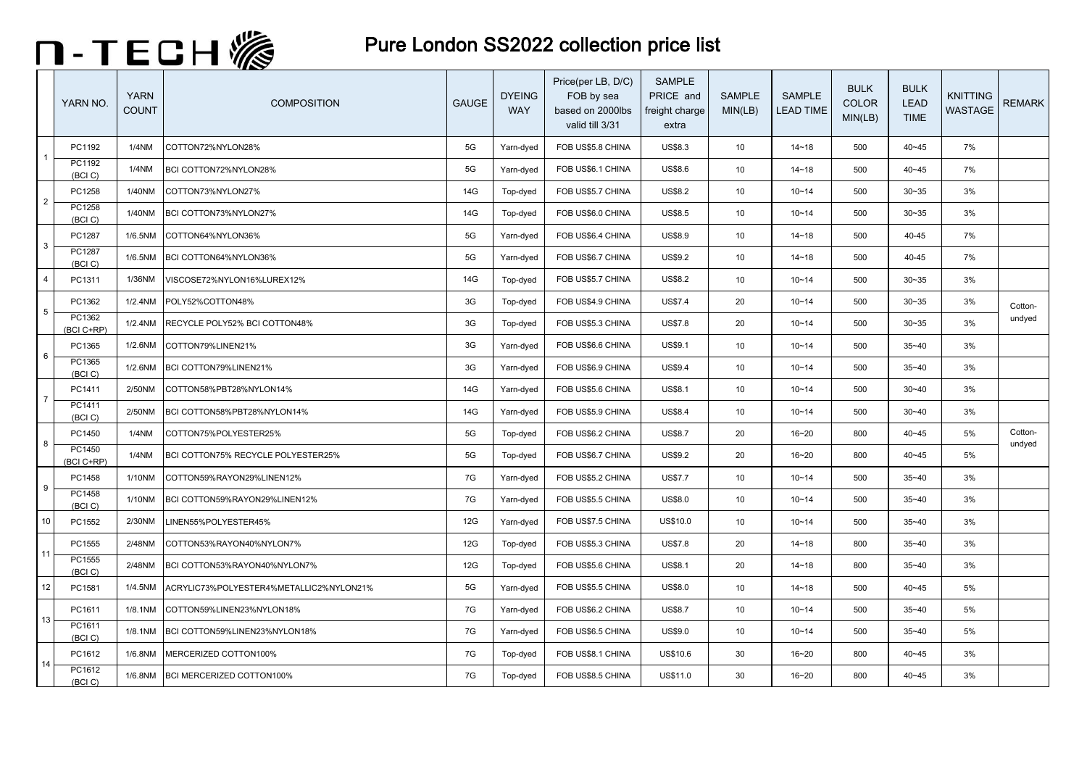

|                 | YARN NO.             | <b>YARN</b><br><b>COUNT</b> | <b>COMPOSITION</b>                      | <b>GAUGE</b> | <b>DYEING</b><br><b>WAY</b> | Price(per LB, D/C)<br>FOB by sea<br>based on 2000lbs<br>valid till 3/31 | <b>SAMPLE</b><br>PRICE and<br>freight charge<br>extra | <b>SAMPLE</b><br>MIN(LB) | <b>SAMPLE</b><br><b>LEAD TIME</b> | <b>BULK</b><br>COLOR<br>MIN(LB) | <b>BULK</b><br><b>LEAD</b><br><b>TIME</b> | <b>KNITTING</b><br>WASTAGE | <b>REMARK</b>     |
|-----------------|----------------------|-----------------------------|-----------------------------------------|--------------|-----------------------------|-------------------------------------------------------------------------|-------------------------------------------------------|--------------------------|-----------------------------------|---------------------------------|-------------------------------------------|----------------------------|-------------------|
|                 | PC1192               | 1/4NM                       | COTTON72%NYLON28%                       | 5G           | Yarn-dyed                   | FOB US\$5.8 CHINA                                                       | <b>US\$8.3</b>                                        | 10                       | $14 - 18$                         | 500                             | $40 - 45$                                 | 7%                         |                   |
|                 | PC1192<br>(BCI)      | 1/4NM                       | BCI COTTON72%NYLON28%                   | 5G           | Yarn-dyed                   | FOB US\$6.1 CHINA                                                       | <b>US\$8.6</b>                                        | 10                       | $14 - 18$                         | 500                             | $40 - 45$                                 | 7%                         |                   |
| $\overline{2}$  | PC1258               | 1/40NM                      | COTTON73%NYLON27%                       | 14G          | Top-dyed                    | FOB US\$5.7 CHINA                                                       | <b>US\$8.2</b>                                        | 10                       | $10 - 14$                         | 500                             | $30 - 35$                                 | 3%                         |                   |
|                 | PC1258<br>(BCI)      | 1/40NM                      | BCI COTTON73%NYLON27%                   | 14G          | Top-dyed                    | FOB US\$6.0 CHINA                                                       | <b>US\$8.5</b>                                        | 10                       | $10 - 14$                         | 500                             | $30 - 35$                                 | 3%                         |                   |
| $\mathbf{3}$    | PC1287               | 1/6.5NM                     | COTTON64%NYLON36%                       | 5G           | Yarn-dyed                   | FOB US\$6.4 CHINA                                                       | US\$8.9                                               | 10                       | $14 - 18$                         | 500                             | 40-45                                     | 7%                         |                   |
|                 | PC1287<br>(BCI)      | 1/6.5NM                     | BCI COTTON64%NYLON36%                   | 5G           | Yarn-dyed                   | FOB US\$6.7 CHINA                                                       | US\$9.2                                               | 10                       | $14 - 18$                         | 500                             | 40-45                                     | 7%                         |                   |
| $\overline{4}$  | PC1311               | 1/36NM                      | VISCOSE72%NYLON16%LUREX12%              | 14G          | Top-dyed                    | FOB US\$5.7 CHINA                                                       | US\$8.2                                               | 10                       | $10 - 14$                         | 500                             | $30 - 35$                                 | 3%                         |                   |
| $5\phantom{.0}$ | PC1362               | 1/2.4NM                     | POLY52%COTTON48%                        | 3G           | Top-dyed                    | FOB US\$4.9 CHINA                                                       | <b>US\$7.4</b>                                        | 20                       | $10 - 14$                         | 500                             | $30 - 35$                                 | 3%                         | Cotton-           |
|                 | PC1362<br>(BCI C+RP) | 1/2.4NM                     | RECYCLE POLY52% BCI COTTON48%           | 3G           | Top-dyed                    | FOB US\$5.3 CHINA                                                       | <b>US\$7.8</b>                                        | 20                       | $10 - 14$                         | 500                             | $30 - 35$                                 | 3%                         | undyed            |
| 6               | PC1365               | 1/2.6NM                     | COTTON79%LINEN21%                       | 3G           | Yarn-dyed                   | FOB US\$6.6 CHINA                                                       | US\$9.1                                               | 10                       | $10 - 14$                         | 500                             | $35 - 40$                                 | 3%                         |                   |
|                 | PC1365<br>(BCI)      | 1/2.6NM                     | BCI COTTON79%LINEN21%                   | 3G           | Yarn-dyed                   | FOB US\$6.9 CHINA                                                       | US\$9.4                                               | 10                       | $10 - 14$                         | 500                             | $35 - 40$                                 | 3%                         |                   |
| $\overline{7}$  | PC1411               | 2/50NM                      | COTTON58%PBT28%NYLON14%                 | 14G          | Yarn-dyed                   | FOB US\$5.6 CHINA                                                       | <b>US\$8.1</b>                                        | 10                       | $10 - 14$                         | 500                             | $30 - 40$                                 | 3%                         |                   |
|                 | PC1411<br>(BCI)      | 2/50NM                      | BCI COTTON58%PBT28%NYLON14%             | 14G          | Yarn-dyed                   | FOB US\$5.9 CHINA                                                       | US\$8.4                                               | 10                       | $10 - 14$                         | 500                             | $30 - 40$                                 | 3%                         |                   |
| 8               | PC1450               | 1/4NM                       | COTTON75%POLYESTER25%                   | 5G           | Top-dyed                    | FOB US\$6.2 CHINA                                                       | <b>US\$8.7</b>                                        | 20                       | $16 - 20$                         | 800                             | $40 - 45$                                 | 5%                         | Cotton-<br>undyed |
|                 | PC1450<br>(BCI C+RP) | <b>1/4NM</b>                | BCI COTTON75% RECYCLE POLYESTER25%      | 5G           | Top-dyed                    | FOB US\$6.7 CHINA                                                       | US\$9.2                                               | 20                       | $16 - 20$                         | 800                             | $40 - 45$                                 | 5%                         |                   |
| 9               | PC1458               | 1/10NM                      | COTTON59%RAYON29%LINEN12%               | 7G           | Yarn-dyed                   | FOB US\$5.2 CHINA                                                       | <b>US\$7.7</b>                                        | 10                       | $10 - 14$                         | 500                             | $35 - 40$                                 | 3%                         |                   |
|                 | PC1458<br>(BCI)      | 1/10NM                      | BCI COTTON59%RAYON29%LINEN12%           | 7G           | Yarn-dyed                   | FOB US\$5.5 CHINA                                                       | <b>US\$8.0</b>                                        | 10                       | $10 - 14$                         | 500                             | $35 - 40$                                 | 3%                         |                   |
| 10              | PC1552               | 2/30NM                      | LINEN55%POLYESTER45%                    | 12G          | Yarn-dyed                   | FOB US\$7.5 CHINA                                                       | US\$10.0                                              | 10                       | $10 - 14$                         | 500                             | $35 - 40$                                 | 3%                         |                   |
| 11              | PC1555               | 2/48NM                      | COTTON53%RAYON40%NYLON7%                | 12G          | Top-dyed                    | FOB US\$5.3 CHINA                                                       | <b>US\$7.8</b>                                        | 20                       | $14 - 18$                         | 800                             | $35 - 40$                                 | 3%                         |                   |
|                 | PC1555<br>(BCI)      | 2/48NM                      | BCI COTTON53%RAYON40%NYLON7%            | 12G          | Top-dyed                    | FOB US\$5.6 CHINA                                                       | <b>US\$8.1</b>                                        | 20                       | $14 - 18$                         | 800                             | $35 - 40$                                 | 3%                         |                   |
| 12              | PC1581               | 1/4.5NM                     | ACRYLIC73%POLYESTER4%METALLIC2%NYLON21% | 5G           | Yarn-dyed                   | FOB US\$5.5 CHINA                                                       | US\$8.0                                               | 10                       | $14 - 18$                         | 500                             | $40 - 45$                                 | 5%                         |                   |
| 13              | PC1611               | 1/8.1NM                     | COTTON59%LINEN23%NYLON18%               | 7G           | Yarn-dyed                   | FOB US\$6.2 CHINA                                                       | <b>US\$8.7</b>                                        | 10                       | $10 - 14$                         | 500                             | $35 - 40$                                 | 5%                         |                   |
|                 | PC1611<br>(BCI)      | 1/8.1NM                     | BCI COTTON59%LINEN23%NYLON18%           | 7G           | Yarn-dyed                   | FOB US\$6.5 CHINA                                                       | US\$9.0                                               | 10                       | $10 - 14$                         | 500                             | $35 - 40$                                 | 5%                         |                   |
| 14              | PC1612               | 1/6.8NM                     | MERCERIZED COTTON100%                   | 7G           | Top-dyed                    | FOB US\$8.1 CHINA                                                       | US\$10.6                                              | 30                       | $16 - 20$                         | 800                             | $40 - 45$                                 | 3%                         |                   |
|                 | PC1612<br>(BCI)      | 1/6.8NM                     | BCI MERCERIZED COTTON100%               | 7G           | Top-dyed                    | FOB US\$8.5 CHINA                                                       | US\$11.0                                              | 30                       | $16 - 20$                         | 800                             | $40 - 45$                                 | 3%                         |                   |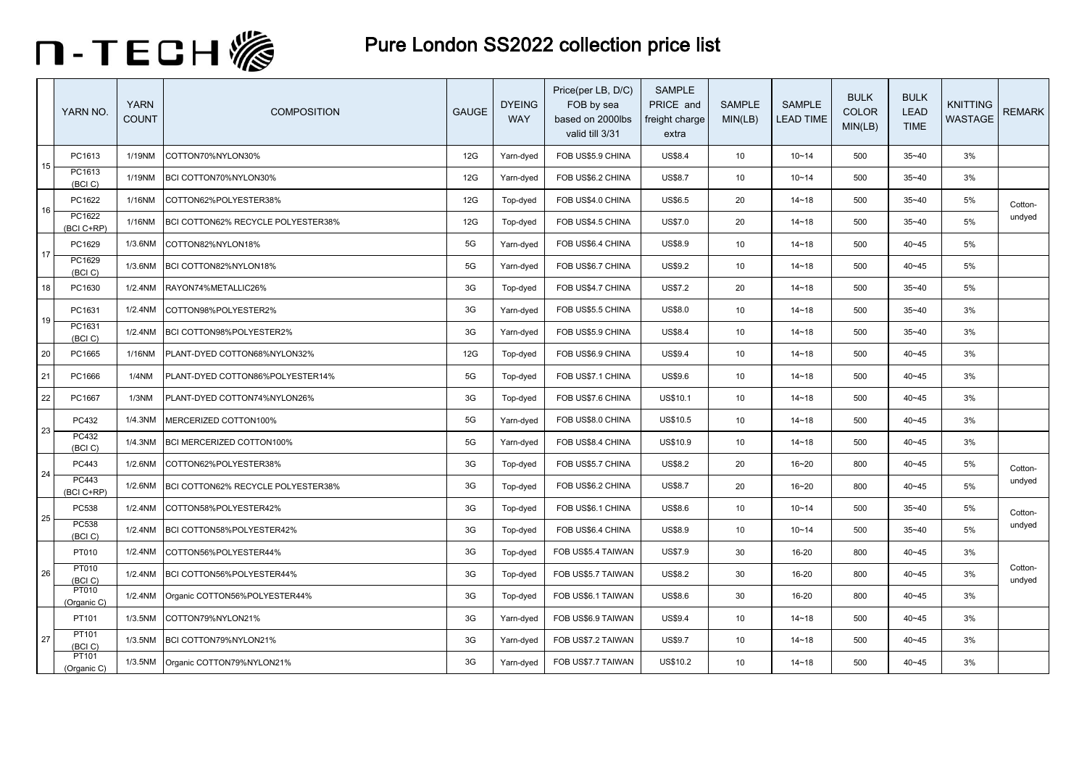

|    | YARN NO.                   | <b>YARN</b><br><b>COUNT</b> | <b>COMPOSITION</b>                 | <b>GAUGE</b> | <b>DYEING</b><br><b>WAY</b> | Price(per LB, D/C)<br>FOB by sea<br>based on 2000lbs<br>valid till 3/31 | SAMPLE<br>PRICE and<br>freight charge<br>extra | <b>SAMPLE</b><br>MIN(LB) | SAMPLE<br><b>LEAD TIME</b> | <b>BULK</b><br><b>COLOR</b><br>MIN(LB) | <b>BULK</b><br><b>LEAD</b><br><b>TIME</b> | <b>KNITTING</b><br>WASTAGE | <b>REMARK</b>     |
|----|----------------------------|-----------------------------|------------------------------------|--------------|-----------------------------|-------------------------------------------------------------------------|------------------------------------------------|--------------------------|----------------------------|----------------------------------------|-------------------------------------------|----------------------------|-------------------|
|    | PC1613                     | 1/19NM                      | COTTON70%NYLON30%                  | 12G          | Yarn-dyed                   | FOB US\$5.9 CHINA                                                       | <b>US\$8.4</b>                                 | 10                       | $10 - 14$                  | 500                                    | $35 - 40$                                 | 3%                         |                   |
| 15 | PC1613<br>(BCI)            | 1/19NM                      | BCI COTTON70%NYLON30%              | 12G          | Yarn-dyed                   | FOB US\$6.2 CHINA                                                       | <b>US\$8.7</b>                                 | 10                       | $10 - 14$                  | 500                                    | $35 - 40$                                 | 3%                         |                   |
|    | PC1622                     | 1/16NM                      | COTTON62%POLYESTER38%              | 12G          | Top-dyed                    | FOB US\$4.0 CHINA                                                       | US\$6.5                                        | 20                       | $14 - 18$                  | 500                                    | $35 - 40$                                 | 5%                         | Cotton-           |
| 16 | PC1622<br>(BCI C+RP)       | 1/16NM                      | BCI COTTON62% RECYCLE POLYESTER38% | 12G          | Top-dyed                    | FOB US\$4.5 CHINA                                                       | US\$7.0                                        | 20                       | $14 - 18$                  | 500                                    | $35 - 40$                                 | 5%                         | undyed            |
| 17 | PC1629                     | 1/3.6NM                     | COTTON82%NYLON18%                  | 5G           | Yarn-dyed                   | FOB US\$6.4 CHINA                                                       | <b>US\$8.9</b>                                 | 10                       | $14 - 18$                  | 500                                    | 40~45                                     | 5%                         |                   |
|    | PC1629<br>(BCI)            | 1/3.6NM                     | BCI COTTON82%NYLON18%              | 5G           | Yarn-dyed                   | FOB US\$6.7 CHINA                                                       | <b>US\$9.2</b>                                 | 10                       | $14 - 18$                  | 500                                    | 40~45                                     | 5%                         |                   |
| 18 | PC1630                     | 1/2.4NM                     | RAYON74%METALLIC26%                | 3G           | Top-dyed                    | FOB US\$4.7 CHINA                                                       | <b>US\$7.2</b>                                 | 20                       | $14 - 18$                  | 500                                    | $35 - 40$                                 | 5%                         |                   |
| 19 | PC1631                     | 1/2.4NM                     | COTTON98%POLYESTER2%               | 3G           | Yarn-dyed                   | FOB US\$5.5 CHINA                                                       | US\$8.0                                        | 10                       | $14 - 18$                  | 500                                    | $35 - 40$                                 | 3%                         |                   |
|    | PC1631<br>(BCI)            | 1/2.4NM                     | BCI COTTON98%POLYESTER2%           | 3G           | Yarn-dyed                   | FOB US\$5.9 CHINA                                                       | <b>US\$8.4</b>                                 | 10                       | $14 - 18$                  | 500                                    | $35 - 40$                                 | 3%                         |                   |
| 20 | PC1665                     | 1/16NM                      | PLANT-DYED COTTON68%NYLON32%       | 12G          | Top-dyed                    | FOB US\$6.9 CHINA                                                       | US\$9.4                                        | 10                       | $14 - 18$                  | 500                                    | 40~45                                     | 3%                         |                   |
| 21 | PC1666                     | 1/4NM                       | PLANT-DYED COTTON86% POLYESTER14%  | 5G           | Top-dyed                    | FOB US\$7.1 CHINA                                                       | US\$9.6                                        | 10                       | $14 - 18$                  | 500                                    | 40~45                                     | 3%                         |                   |
| 22 | PC1667                     | 1/3NM                       | PLANT-DYED COTTON74%NYLON26%       | 3G           | Top-dyed                    | FOB US\$7.6 CHINA                                                       | US\$10.1                                       | 10                       | $14 - 18$                  | 500                                    | $40 - 45$                                 | 3%                         |                   |
| 23 | PC432                      | 1/4.3NM                     | MERCERIZED COTTON100%              | 5G           | Yarn-dyed                   | FOB US\$8.0 CHINA                                                       | US\$10.5                                       | 10                       | $14 - 18$                  | 500                                    | 40~45                                     | 3%                         |                   |
|    | <b>PC432</b><br>(BCI)      | 1/4.3NM                     | BCI MERCERIZED COTTON100%          | 5G           | Yarn-dyed                   | FOB US\$8.4 CHINA                                                       | US\$10.9                                       | 10                       | $14 - 18$                  | 500                                    | 40~45                                     | 3%                         |                   |
| 24 | <b>PC443</b>               | 1/2.6NM                     | COTTON62%POLYESTER38%              | 3G           | Top-dyed                    | FOB US\$5.7 CHINA                                                       | <b>US\$8.2</b>                                 | 20                       | $16 - 20$                  | 800                                    | 40~45                                     | 5%                         | Cotton-           |
|    | <b>PC443</b><br>(BCI C+RP) | 1/2.6NM                     | BCI COTTON62% RECYCLE POLYESTER38% | 3G           | Top-dyed                    | FOB US\$6.2 CHINA                                                       | <b>US\$8.7</b>                                 | 20                       | $16 - 20$                  | 800                                    | $40 - 45$                                 | 5%                         | undyed            |
| 25 | PC538                      | 1/2.4NM                     | COTTON58%POLYESTER42%              | 3G           | Top-dyed                    | FOB US\$6.1 CHINA                                                       | <b>US\$8.6</b>                                 | 10                       | $10 - 14$                  | 500                                    | $35 - 40$                                 | 5%                         | Cotton-           |
|    | <b>PC538</b><br>(BCI)      | 1/2.4NM                     | BCI COTTON58%POLYESTER42%          | 3G           | Top-dyed                    | FOB US\$6.4 CHINA                                                       | <b>US\$8.9</b>                                 | 10                       | $10 - 14$                  | 500                                    | $35 - 40$                                 | 5%                         | undyed            |
|    | PT010                      | 1/2.4NM                     | COTTON56%POLYESTER44%              | 3G           | Top-dyed                    | FOB US\$5.4 TAIWAN                                                      | <b>US\$7.9</b>                                 | 30                       | 16-20                      | 800                                    | 40~45                                     | 3%                         |                   |
| 26 | PT010<br>(BCI C)           | 1/2.4NM                     | BCI COTTON56%POLYESTER44%          | 3G           | Top-dyed                    | FOB US\$5.7 TAIWAN                                                      | <b>US\$8.2</b>                                 | 30                       | 16-20                      | 800                                    | $40 - 45$                                 | 3%                         | Cotton-<br>undyed |
|    | PT010<br>(Organic C)       | 1/2.4NM                     | Organic COTTON56%POLYESTER44%      | 3G           | Top-dyed                    | FOB US\$6.1 TAIWAN                                                      | <b>US\$8.6</b>                                 | 30                       | 16-20                      | 800                                    | 40~45                                     | 3%                         |                   |
|    | PT101                      | 1/3.5NM                     | COTTON79%NYLON21%                  | 3G           | Yarn-dyed                   | FOB US\$6.9 TAIWAN                                                      | US\$9.4                                        | 10                       | $14 - 18$                  | 500                                    | $40 - 45$                                 | 3%                         |                   |
| 27 | PT101<br>(BCI)             | 1/3.5NM                     | BCI COTTON79%NYLON21%              | 3G           | Yarn-dyed                   | FOB US\$7.2 TAIWAN                                                      | <b>US\$9.7</b>                                 | 10                       | $14 - 18$                  | 500                                    | 40~45                                     | 3%                         |                   |
|    | PT101<br>(Organic C)       | 1/3.5NM                     | Organic COTTON79%NYLON21%          | 3G           | Yarn-dyed                   | FOB US\$7.7 TAIWAN                                                      | US\$10.2                                       | 10                       | $14 - 18$                  | 500                                    | 40~45                                     | 3%                         |                   |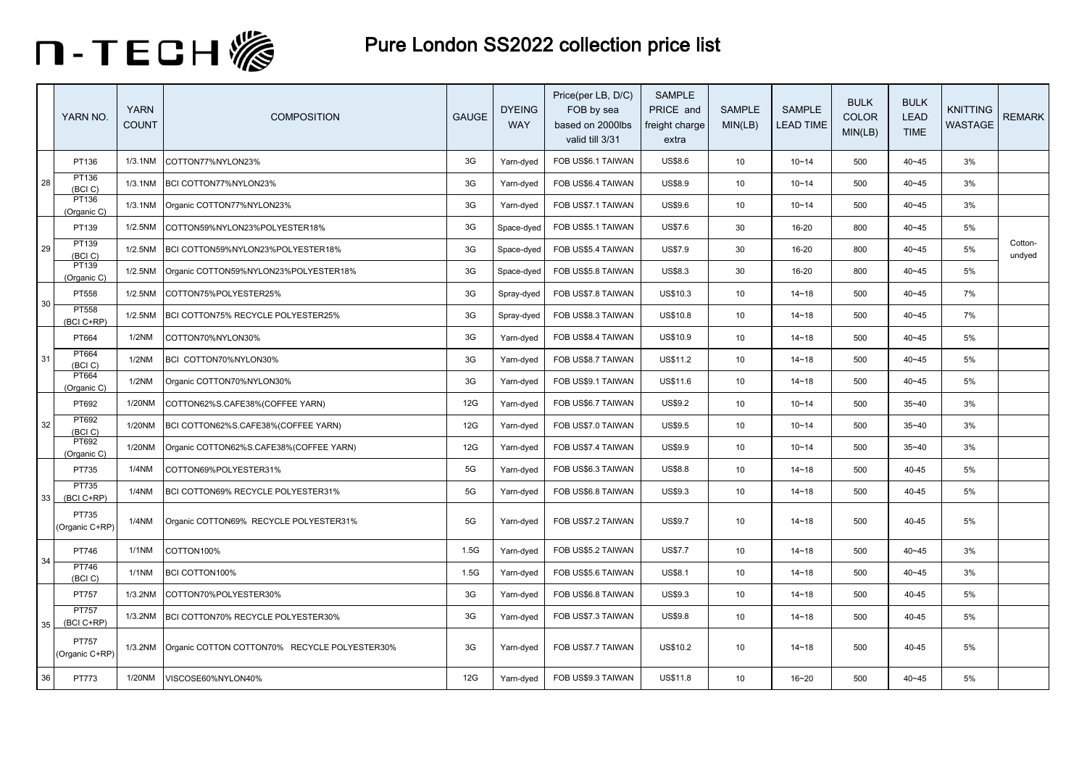

|    | YARN NO.                | <b>YARN</b><br><b>COUNT</b> | <b>COMPOSITION</b>                            | <b>GAUGE</b> | <b>DYEING</b><br><b>WAY</b> | Price(per LB, D/C)<br>FOB by sea<br>based on 2000lbs<br>valid till 3/31 | <b>SAMPLE</b><br>PRICE and<br>freight charge<br>extra | <b>SAMPLE</b><br>MIN(LB) | <b>SAMPLE</b><br><b>LEAD TIME</b> | <b>BULK</b><br>COLOR<br>MIN(LB) | <b>BULK</b><br><b>LEAD</b><br><b>TIME</b> | KNITTING<br>WASTAGE | <b>REMARK</b>     |
|----|-------------------------|-----------------------------|-----------------------------------------------|--------------|-----------------------------|-------------------------------------------------------------------------|-------------------------------------------------------|--------------------------|-----------------------------------|---------------------------------|-------------------------------------------|---------------------|-------------------|
|    | PT136                   | 1/3.1NM                     | COTTON77%NYLON23%                             | 3G           | Yarn-dyed                   | FOB US\$6.1 TAIWAN                                                      | <b>US\$8.6</b>                                        | 10                       | $10 - 14$                         | 500                             | $40 - 45$                                 | 3%                  |                   |
| 28 | PT136<br>(BCI C)        | 1/3.1NM                     | BCI COTTON77%NYLON23%                         | 3G           | Yarn-dyed                   | FOB US\$6.4 TAIWAN                                                      | <b>US\$8.9</b>                                        | 10                       | $10 - 14$                         | 500                             | $40 - 45$                                 | 3%                  |                   |
|    | PT136<br>(Organic C)    | 1/3.1NM                     | Organic COTTON77%NYLON23%                     | 3G           | Yarn-dyed                   | FOB US\$7.1 TAIWAN                                                      | US\$9.6                                               | 10                       | $10 - 14$                         | 500                             | $40 - 45$                                 | 3%                  |                   |
|    | PT139                   | 1/2.5NM                     | COTTON59%NYLON23%POLYESTER18%                 | 3G           | Space-dyed                  | FOB US\$5.1 TAIWAN                                                      | <b>US\$7.6</b>                                        | 30                       | 16-20                             | 800                             | $40 - 45$                                 | 5%                  |                   |
| 29 | PT139<br>(BCI C)        | 1/2.5NM                     | BCI COTTON59%NYLON23%POLYESTER18%             | 3G           | Space-dyed                  | FOB US\$5.4 TAIWAN                                                      | US\$7.9                                               | 30                       | 16-20                             | 800                             | $40 - 45$                                 | 5%                  | Cotton-<br>undyed |
|    | PT139<br>(Organic C)    | 1/2.5NM                     | Organic COTTON59%NYLON23%POLYESTER18%         | 3G           | Space-dyed                  | FOB US\$5.8 TAIWAN                                                      | <b>US\$8.3</b>                                        | 30                       | 16-20                             | 800                             | $40 - 45$                                 | 5%                  |                   |
| 30 | PT558                   | 1/2.5NM                     | COTTON75%POLYESTER25%                         | 3G           | Spray-dyed                  | FOB US\$7.8 TAIWAN                                                      | US\$10.3                                              | 10                       | $14 - 18$                         | 500                             | $40 - 45$                                 | 7%                  |                   |
|    | PT558<br>(BCI C+RP)     | 1/2.5NM                     | BCI COTTON75% RECYCLE POLYESTER25%            | 3G           | Spray-dyed                  | FOB US\$8.3 TAIWAN                                                      | US\$10.8                                              | 10                       | $14 - 18$                         | 500                             | $40 - 45$                                 | 7%                  |                   |
|    | PT664                   | 1/2NM                       | COTTON70%NYLON30%                             | 3G           | Yarn-dyed                   | FOB US\$8.4 TAIWAN                                                      | US\$10.9                                              | 10                       | $14 - 18$                         | 500                             | $40 - 45$                                 | 5%                  |                   |
| 31 | PT664<br>(BCI C)        | 1/2NM                       | BCI COTTON70%NYLON30%                         | 3G           | Yarn-dyed                   | FOB US\$8.7 TAIWAN                                                      | US\$11.2                                              | 10                       | $14 - 18$                         | 500                             | $40 - 45$                                 | 5%                  |                   |
|    | PT664<br>(Organic C)    | 1/2NM                       | Organic COTTON70%NYLON30%                     | 3G           | Yarn-dyed                   | FOB US\$9.1 TAIWAN                                                      | US\$11.6                                              | 10                       | $14 - 18$                         | 500                             | $40 - 45$                                 | 5%                  |                   |
|    | PT692                   | 1/20NM                      | COTTON62%S.CAFE38%(COFFEE YARN)               | 12G          | Yarn-dyed                   | FOB US\$6.7 TAIWAN                                                      | US\$9.2                                               | 10                       | $10 - 14$                         | 500                             | $35 - 40$                                 | 3%                  |                   |
| 32 | PT692<br>(BCI C)        | 1/20NM                      | BCI COTTON62%S.CAFE38%(COFFEE YARN)           | 12G          | Yarn-dyed                   | FOB US\$7.0 TAIWAN                                                      | US\$9.5                                               | 10                       | $10 - 14$                         | 500                             | $35 - 40$                                 | 3%                  |                   |
|    | PT692<br>(Organic C)    | 1/20NM                      | Organic COTTON62%S.CAFE38%(COFFEE YARN)       | 12G          | Yarn-dyed                   | FOB US\$7.4 TAIWAN                                                      | US\$9.9                                               | 10                       | $10 - 14$                         | 500                             | $35 - 40$                                 | 3%                  |                   |
|    | PT735                   | 1/4NM                       | COTTON69%POLYESTER31%                         | 5G           | Yarn-dyed                   | FOB US\$6.3 TAIWAN                                                      | <b>US\$8.8</b>                                        | 10                       | $14 - 18$                         | 500                             | 40-45                                     | 5%                  |                   |
| 33 | PT735<br>(BCI C+RP)     | 1/4NM                       | BCI COTTON69% RECYCLE POLYESTER31%            | 5G           | Yarn-dyed                   | FOB US\$6.8 TAIWAN                                                      | US\$9.3                                               | 10                       | $14 - 18$                         | 500                             | 40-45                                     | 5%                  |                   |
|    | PT735<br>(Organic C+RP) | 1/4NM                       | Organic COTTON69% RECYCLE POLYESTER31%        | 5G           | Yarn-dyed                   | FOB US\$7.2 TAIWAN                                                      | <b>US\$9.7</b>                                        | 10                       | $14 - 18$                         | 500                             | 40-45                                     | 5%                  |                   |
| 34 | PT746                   | 1/1NM                       | COTTON100%                                    | 1.5G         | Yarn-dyed                   | FOB US\$5.2 TAIWAN                                                      | <b>US\$7.7</b>                                        | 10                       | $14 - 18$                         | 500                             | $40 - 45$                                 | 3%                  |                   |
|    | <b>PT746</b><br>(BCI)   | $1/1$ NM                    | BCI COTTON100%                                | 1.5G         | Yarn-dyed                   | FOB US\$5.6 TAIWAN                                                      | <b>US\$8.1</b>                                        | 10                       | $14 - 18$                         | 500                             | $40 - 45$                                 | 3%                  |                   |
|    | PT757                   | 1/3.2NM                     | COTTON70%POLYESTER30%                         | 3G           | Yarn-dyed                   | FOB US\$6.8 TAIWAN                                                      | US\$9.3                                               | 10                       | $14 - 18$                         | 500                             | 40-45                                     | 5%                  |                   |
| 35 | PT757<br>(BCI C+RP)     | 1/3.2NM                     | BCI COTTON70% RECYCLE POLYESTER30%            | 3G           | Yarn-dyed                   | FOB US\$7.3 TAIWAN                                                      | <b>US\$9.8</b>                                        | 10                       | $14 - 18$                         | 500                             | 40-45                                     | 5%                  |                   |
|    | PT757<br>(Organic C+RP) | 1/3.2NM                     | Organic COTTON COTTON70% RECYCLE POLYESTER30% | 3G           | Yarn-dyed                   | FOB US\$7.7 TAIWAN                                                      | US\$10.2                                              | 10                       | $14 - 18$                         | 500                             | 40-45                                     | 5%                  |                   |
| 36 | PT773                   | 1/20NM                      | VISCOSE60%NYLON40%                            | 12G          | Yarn-dyed                   | FOB US\$9.3 TAIWAN                                                      | US\$11.8                                              | 10                       | $16 - 20$                         | 500                             | $40 - 45$                                 | 5%                  |                   |